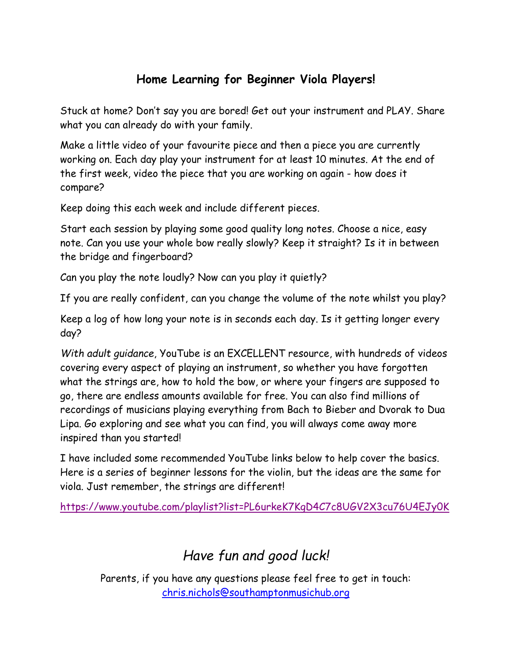### **Home Learning for Beginner Viola Players!**

Stuck at home? Don't say you are bored! Get out your instrument and PLAY. Share what you can already do with your family.

Make a little video of your favourite piece and then a piece you are currently working on. Each day play your instrument for at least 10 minutes. At the end of the first week, video the piece that you are working on again - how does it compare?

Keep doing this each week and include different pieces.

Start each session by playing some good quality long notes. Choose a nice, easy note. Can you use your whole bow really slowly? Keep it straight? Is it in between the bridge and fingerboard?

Can you play the note loudly? Now can you play it quietly?

If you are really confident, can you change the volume of the note whilst you play?

Keep a log of how long your note is in seconds each day. Is it getting longer every day?

*With adult guidance*, YouTube is an EXCELLENT resource, with hundreds of videos covering every aspect of playing an instrument, so whether you have forgotten what the strings are, how to hold the bow, or where your fingers are supposed to go, there are endless amounts available for free. You can also find millions of recordings of musicians playing everything from Bach to Bieber and Dvorak to Dua Lipa. Go exploring and see what you can find, you will always come away more inspired than you started!

I have included some recommended YouTube links below to help cover the basics. Here is a series of beginner lessons for the violin, but the ideas are the same for viola. Just remember, the strings are different!

<https://www.youtube.com/playlist?list=PL6urkeK7KgD4C7c8UGV2X3cu76U4EJy0K>

# *Have fun and good luck!*

Parents, if you have any questions please feel free to get in touch: [chris.nichols@southamptonmusichub.org](mailto:chris.nichols@southamptonmusichub.org)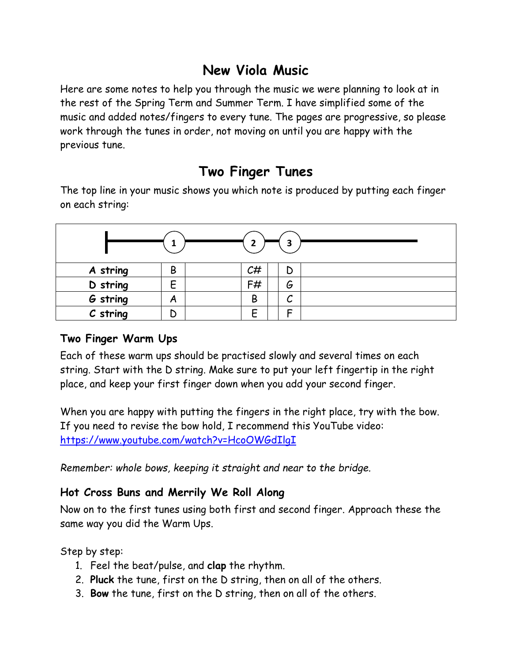## **New Viola Music**

Here are some notes to help you through the music we were planning to look at in the rest of the Spring Term and Summer Term. I have simplified some of the music and added notes/fingers to every tune. The pages are progressive, so please work through the tunes in order, not moving on until you are happy with the previous tune.

# **Two Finger Tunes**

The top line in your music shows you which note is produced by putting each finger on each string:



### **Two Finger Warm Ups**

Each of these warm ups should be practised slowly and several times on each string. Start with the D string. Make sure to put your left fingertip in the right place, and keep your first finger down when you add your second finger.

When you are happy with putting the fingers in the right place, try with the bow. If you need to revise the bow hold, I recommend this YouTube video: <https://www.youtube.com/watch?v=HcoOWGdIlgI>

*Remember: whole bows, keeping it straight and near to the bridge.*

### **Hot Cross Buns and Merrily We Roll Along**

Now on to the first tunes using both first and second finger. Approach these the same way you did the Warm Ups.

Step by step:

- 1. Feel the beat/pulse, and **clap** the rhythm.
- 2. **Pluck** the tune, first on the D string, then on all of the others.
- 3. **Bow** the tune, first on the D string, then on all of the others.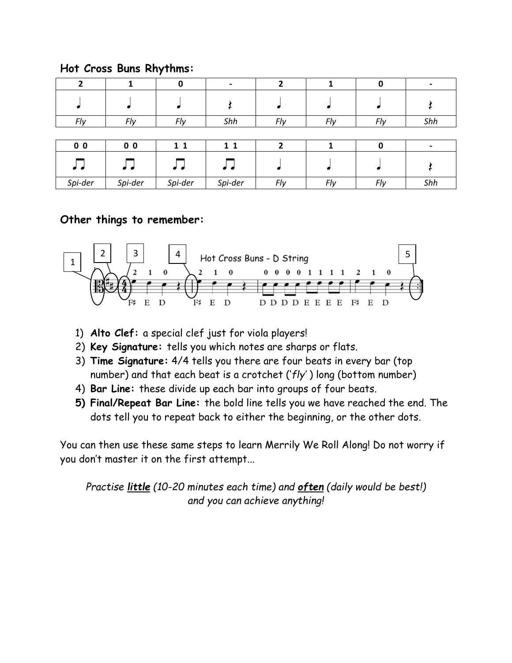|  |  |  |  | Hot Cross Buns Rhythms: |
|--|--|--|--|-------------------------|
|--|--|--|--|-------------------------|

|                |                | 0       | $\overline{a}$ |     |     |     |     |
|----------------|----------------|---------|----------------|-----|-----|-----|-----|
|                |                |         |                |     |     |     |     |
| Fly            | Fly            | Fly     | Shh            | Fly | Fly | Fly | Shh |
|                |                |         |                |     |     |     |     |
| 0 <sub>0</sub> | 0 <sub>0</sub> | 11      | 11             | 2   |     | 0   |     |
| ہے تھ          | ان ام          | ہے لہ   |                |     |     |     |     |
| Spi-der        | Spi-der        | Spi-der | Spi-der        | Fly | Fly | Fly | Shh |

#### **Other things to remember:**



- 1) **Alto Clef:** a special clef just for viola players!
- 2) **Key Signature:** tells you which notes are sharps or flats.
- 3) **Time Signature:** 4/4 tells you there are four beats in every bar (top number) and that each beat is a crotchet ('*fly'* ) long (bottom number)
- 4) **Bar Line:** these divide up each bar into groups of four beats.
- **5) Final/Repeat Bar Line:** the bold line tells you we have reached the end. The dots tell you to repeat back to either the beginning, or the other dots.

You can then use these same steps to learn Merrily We Roll Along! Do not worry if you don't master it on the first attempt...

*Practise little (10-20 minutes each time) and often (daily would be best!) and you can achieve anything!*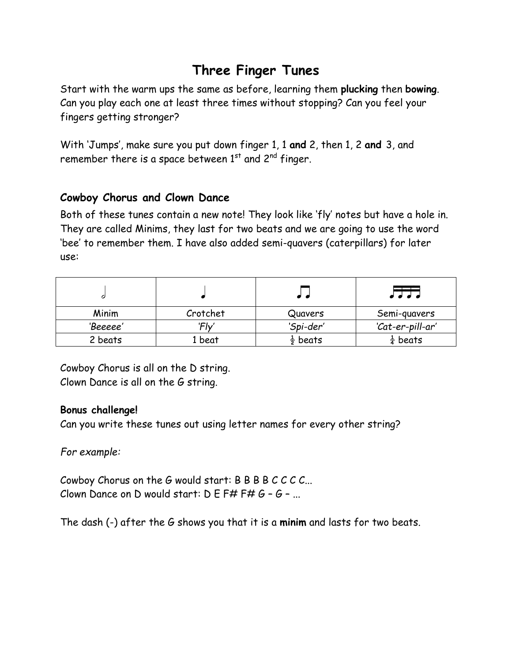# **Three Finger Tunes**

Start with the warm ups the same as before, learning them **plucking** then **bowing**. Can you play each one at least three times without stopping? Can you feel your fingers getting stronger?

With 'Jumps', make sure you put down finger 1, 1 **and** 2, then 1, 2 **and** 3, and remember there is a space between  $1<sup>st</sup>$  and  $2<sup>nd</sup>$  finger.

### **Cowboy Chorus and Clown Dance**

Both of these tunes contain a new note! They look like 'fly' notes but have a hole in. They are called Minims, they last for two beats and we are going to use the word 'bee' to remember them. I have also added semi-quavers (caterpillars) for later use:

|          |          |                     | ام ام ام            |
|----------|----------|---------------------|---------------------|
| Minim    | Crotchet | Quavers             | Semi-quavers        |
| 'Beeeee' | 'Flv     | 'Spi-der'           | 'Cat-er-pill-ar'    |
| 2 beats  | 1 beat   | $\frac{1}{2}$ beats | $\frac{1}{4}$ beats |

Cowboy Chorus is all on the D string. Clown Dance is all on the G string.

#### **Bonus challenge!**

Can you write these tunes out using letter names for every other string?

*For example:*

Cowboy Chorus on the G would start: B B B B C C C C... Clown Dance on D would start:  $D E F# F# G - G - ...$ 

The dash (-) after the G shows you that it is a **minim** and lasts for two beats.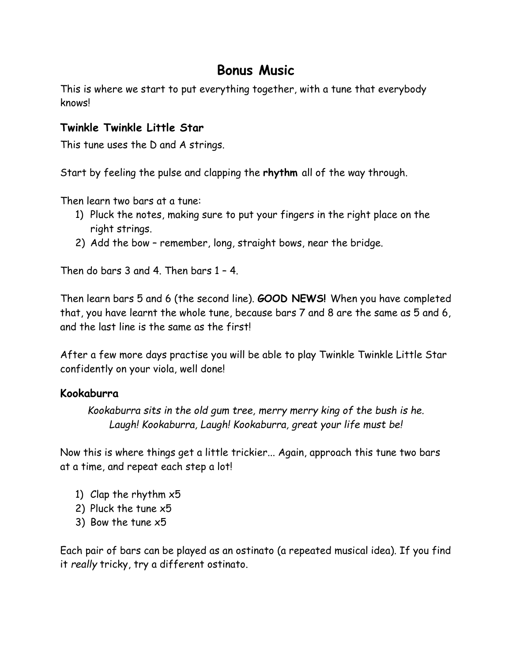### **Bonus Music**

This is where we start to put everything together, with a tune that everybody knows!

#### **Twinkle Twinkle Little Star**

This tune uses the D and A strings.

Start by feeling the pulse and clapping the **rhythm** all of the way through.

Then learn two bars at a tune:

- 1) Pluck the notes, making sure to put your fingers in the right place on the right strings.
- 2) Add the bow remember, long, straight bows, near the bridge.

Then do bars 3 and 4. Then bars 1 – 4.

Then learn bars 5 and 6 (the second line). **GOOD NEWS!** When you have completed that, you have learnt the whole tune, because bars 7 and 8 are the same as 5 and 6, and the last line is the same as the first!

After a few more days practise you will be able to play Twinkle Twinkle Little Star confidently on your viola, well done!

#### **Kookaburra**

*Kookaburra sits in the old gum tree, merry merry king of the bush is he. Laugh! Kookaburra, Laugh! Kookaburra, great your life must be!*

Now this is where things get a little trickier... Again, approach this tune two bars at a time, and repeat each step a lot!

- 1) Clap the rhythm x5
- 2) Pluck the tune x5
- 3) Bow the tune x5

Each pair of bars can be played as an ostinato (a repeated musical idea). If you find it *really* tricky, try a different ostinato.